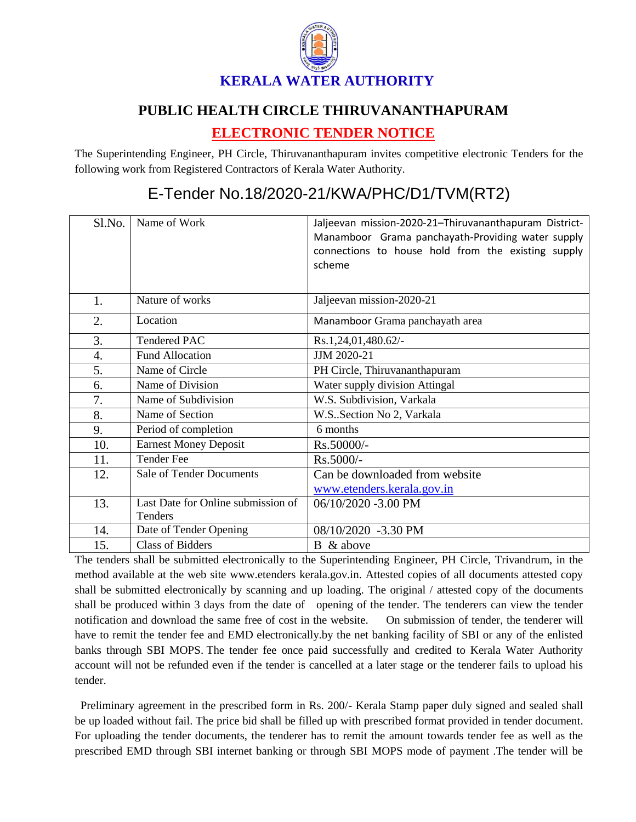

## **PUBLIC HEALTH CIRCLE THIRUVANANTHAPURAM**

## **ELECTRONIC TENDER NOTICE**

The Superintending Engineer, PH Circle, Thiruvananthapuram invites competitive electronic Tenders for the following work from Registered Contractors of Kerala Water Authority.

## E-Tender No.18/2020-21/KWA/PHC/D1/TVM(RT2)

| Sl.No.           | Name of Work                       | Jaljeevan mission-2020-21-Thiruvananthapuram District- |
|------------------|------------------------------------|--------------------------------------------------------|
|                  |                                    | Manamboor Grama panchayath-Providing water supply      |
|                  |                                    | connections to house hold from the existing supply     |
|                  |                                    | scheme                                                 |
|                  |                                    |                                                        |
| 1.               | Nature of works                    | Jaljeevan mission-2020-21                              |
|                  |                                    |                                                        |
| 2.               | Location                           | Manamboor Grama panchayath area                        |
| 3.               | <b>Tendered PAC</b>                | Rs.1,24,01,480.62/-                                    |
| $\overline{4}$ . | <b>Fund Allocation</b>             | JJM 2020-21                                            |
| 5.               | Name of Circle                     | PH Circle, Thiruvananthapuram                          |
| 6.               | Name of Division                   | Water supply division Attingal                         |
| 7.               | Name of Subdivision                | W.S. Subdivision, Varkala                              |
| 8.               | Name of Section                    | W.S. Section No 2, Varkala                             |
| 9.               | Period of completion               | 6 months                                               |
| 10.              | <b>Earnest Money Deposit</b>       | Rs.50000/-                                             |
| 11.              | <b>Tender Fee</b>                  | Rs.5000/-                                              |
| 12.              | <b>Sale of Tender Documents</b>    | Can be downloaded from website                         |
|                  |                                    | www.etenders.kerala.gov.in                             |
| 13.              | Last Date for Online submission of | 06/10/2020 -3.00 PM                                    |
|                  | Tenders                            |                                                        |
| 14.              | Date of Tender Opening             | 08/10/2020 -3.30 PM                                    |
| 15.              | <b>Class of Bidders</b>            | B & above                                              |

The tenders shall be submitted electronically to the Superintending Engineer, PH Circle, Trivandrum, in the method available at the web site www.etenders kerala.gov.in. Attested copies of all documents attested copy shall be submitted electronically by scanning and up loading. The original / attested copy of the documents shall be produced within 3 days from the date of opening of the tender. The tenderers can view the tender notification and download the same free of cost in the website. On submission of tender, the tenderer will have to remit the tender fee and EMD electronically.by the net banking facility of SBI or any of the enlisted banks through SBI MOPS. The tender fee once paid successfully and credited to Kerala Water Authority account will not be refunded even if the tender is cancelled at a later stage or the tenderer fails to upload his tender.

 Preliminary agreement in the prescribed form in Rs. 200/- Kerala Stamp paper duly signed and sealed shall be up loaded without fail. The price bid shall be filled up with prescribed format provided in tender document. For uploading the tender documents, the tenderer has to remit the amount towards tender fee as well as the prescribed EMD through SBI internet banking or through SBI MOPS mode of payment .The tender will be